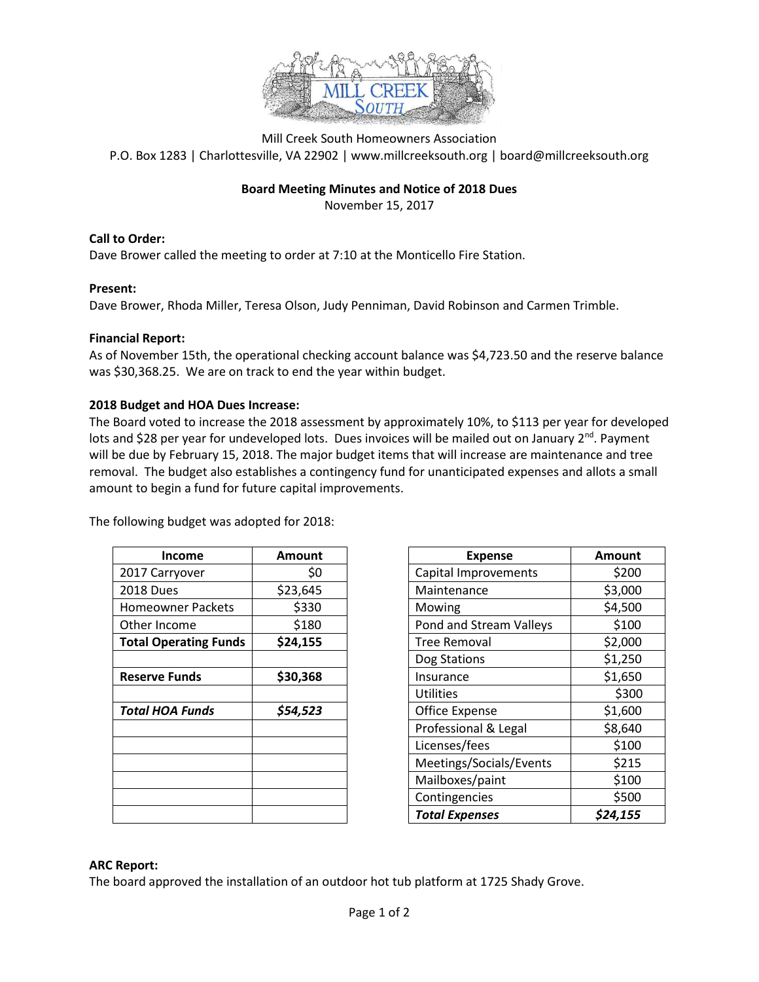

Mill Creek South Homeowners Association P.O. Box 1283 | Charlottesville, VA 22902 | www.millcreeksouth.org | board@millcreeksouth.org

#### **Board Meeting Minutes and Notice of 2018 Dues**

November 15, 2017

**Call to Order:**

Dave Brower called the meeting to order at 7:10 at the Monticello Fire Station.

#### **Present:**

Dave Brower, Rhoda Miller, Teresa Olson, Judy Penniman, David Robinson and Carmen Trimble.

#### **Financial Report:**

As of November 15th, the operational checking account balance was \$4,723.50 and the reserve balance was \$30,368.25. We are on track to end the year within budget.

#### **2018 Budget and HOA Dues Increase:**

The Board voted to increase the 2018 assessment by approximately 10%, to \$113 per year for developed lots and \$28 per year for undeveloped lots. Dues invoices will be mailed out on January  $2^{nd}$ . Payment will be due by February 15, 2018. The major budget items that will increase are maintenance and tree removal. The budget also establishes a contingency fund for unanticipated expenses and allots a small amount to begin a fund for future capital improvements.

The following budget was adopted for 2018:

| Income                       | Amount   |  |
|------------------------------|----------|--|
| 2017 Carryover               | \$0      |  |
| <b>2018 Dues</b>             | \$23,645 |  |
| <b>Homeowner Packets</b>     | \$330    |  |
| Other Income                 | \$180    |  |
| <b>Total Operating Funds</b> | \$24,155 |  |
|                              |          |  |
| <b>Reserve Funds</b>         | \$30,368 |  |
|                              |          |  |
| Total HOA Funds              | \$54,523 |  |
|                              |          |  |
|                              |          |  |
|                              |          |  |
|                              |          |  |
|                              |          |  |
|                              |          |  |

| <b>Income</b>                | <b>Amount</b> | <b>Expense</b>          | <b>Amount</b> |
|------------------------------|---------------|-------------------------|---------------|
| 2017 Carryover               | \$0           | Capital Improvements    | \$200         |
| 2018 Dues                    | \$23,645      | Maintenance             | \$3,000       |
| <b>Homeowner Packets</b>     | \$330         | Mowing                  | \$4,500       |
| Other Income                 | \$180         | Pond and Stream Valleys | \$100         |
| <b>Total Operating Funds</b> | \$24,155      | <b>Tree Removal</b>     | \$2,000       |
|                              |               | Dog Stations            | \$1,250       |
| <b>Reserve Funds</b>         | \$30,368      | Insurance               | \$1,650       |
|                              |               | <b>Utilities</b>        | \$300         |
| <b>Total HOA Funds</b>       | \$54,523      | <b>Office Expense</b>   | \$1,600       |
|                              |               | Professional & Legal    | \$8,640       |
|                              |               | Licenses/fees           | \$100         |
|                              |               | Meetings/Socials/Events | \$215         |
|                              |               | Mailboxes/paint         | \$100         |
|                              |               | Contingencies           | \$500         |
|                              |               | <b>Total Expenses</b>   | \$24,155      |

### **ARC Report:**

The board approved the installation of an outdoor hot tub platform at 1725 Shady Grove.